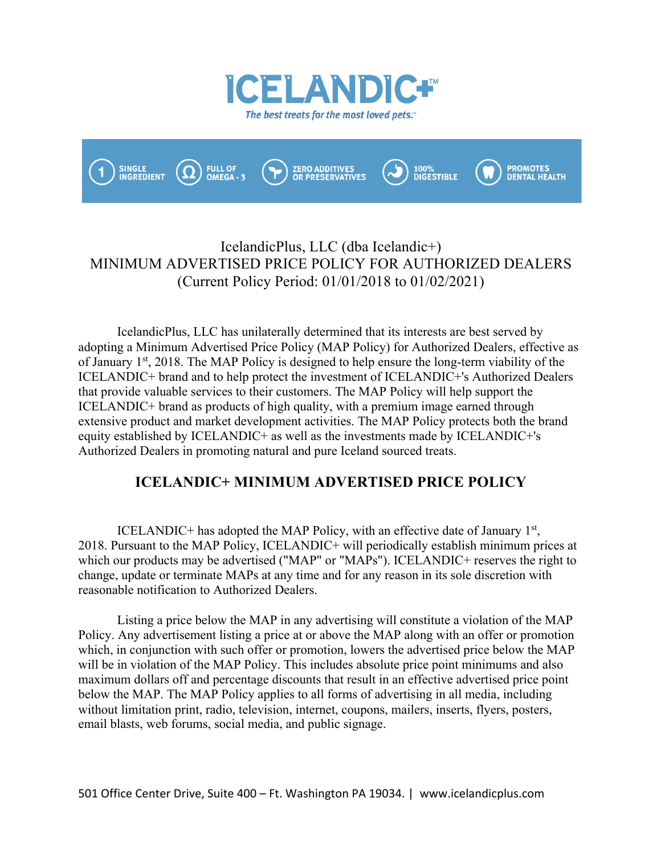



# IcelandicPlus, LLC (dba Icelandic+) MINIMUM ADVERTISED PRICE POLICY FOR AUTHORIZED DEALERS (Current Policy Period: 01/01/2018 to 01/02/2021)

IcelandicPlus, LLC has unilaterally determined that its interests are best served by adopting a Minimum Advertised Price Policy (MAP Policy) for Authorized Dealers, effective as of January 1<sup>st</sup>, 2018. The MAP Policy is designed to help ensure the long-term viability of the ICELANDIC+ brand and to help protect the investment of ICELANDIC+'s Authorized Dealers that provide valuable services to their customers. The MAP Policy will help support the ICELANDIC+ brand as products of high quality, with a premium image earned through extensive product and market development activities. The MAP Policy protects both the brand equity established by ICELANDIC+ as well as the investments made by ICELANDIC+'s Authorized Dealers in promoting natural and pure Iceland sourced treats.

# **ICELANDIC+ MINIMUM ADVERTISED PRICE POLICY**

ICELANDIC+ has adopted the MAP Policy, with an effective date of January  $1<sup>st</sup>$ , 2018. Pursuant to the MAP Policy, ICELANDIC+ will periodically establish minimum prices at which our products may be advertised ("MAP" or "MAPs"). ICELANDIC+ reserves the right to change, update or terminate MAPs at any time and for any reason in its sole discretion with reasonable notification to Authorized Dealers.

Listing a price below the MAP in any advertising will constitute a violation of the MAP Policy. Any advertisement listing a price at or above the MAP along with an offer or promotion which, in conjunction with such offer or promotion, lowers the advertised price below the MAP will be in violation of the MAP Policy. This includes absolute price point minimums and also maximum dollars off and percentage discounts that result in an effective advertised price point below the MAP. The MAP Policy applies to all forms of advertising in all media, including without limitation print, radio, television, internet, coupons, mailers, inserts, flyers, posters, email blasts, web forums, social media, and public signage.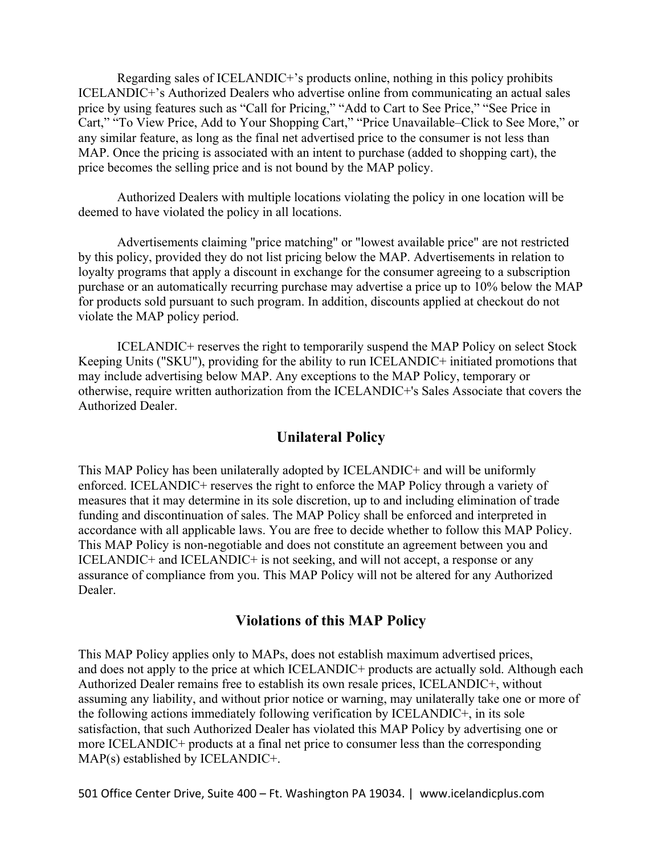Regarding sales of ICELANDIC+'s products online, nothing in this policy prohibits ICELANDIC+'s Authorized Dealers who advertise online from communicating an actual sales price by using features such as "Call for Pricing," "Add to Cart to See Price," "See Price in Cart," "To View Price, Add to Your Shopping Cart," "Price Unavailable–Click to See More," or any similar feature, as long as the final net advertised price to the consumer is not less than MAP. Once the pricing is associated with an intent to purchase (added to shopping cart), the price becomes the selling price and is not bound by the MAP policy.

Authorized Dealers with multiple locations violating the policy in one location will be deemed to have violated the policy in all locations.

Advertisements claiming "price matching" or "lowest available price" are not restricted by this policy, provided they do not list pricing below the MAP. Advertisements in relation to loyalty programs that apply a discount in exchange for the consumer agreeing to a subscription purchase or an automatically recurring purchase may advertise a price up to 10% below the MAP for products sold pursuant to such program. In addition, discounts applied at checkout do not violate the MAP policy period.

ICELANDIC+ reserves the right to temporarily suspend the MAP Policy on select Stock Keeping Units ("SKU"), providing for the ability to run ICELANDIC+ initiated promotions that may include advertising below MAP. Any exceptions to the MAP Policy, temporary or otherwise, require written authorization from the ICELANDIC+'s Sales Associate that covers the Authorized Dealer.

## **Unilateral Policy**

This MAP Policy has been unilaterally adopted by ICELANDIC+ and will be uniformly enforced. ICELANDIC+ reserves the right to enforce the MAP Policy through a variety of measures that it may determine in its sole discretion, up to and including elimination of trade funding and discontinuation of sales. The MAP Policy shall be enforced and interpreted in accordance with all applicable laws. You are free to decide whether to follow this MAP Policy. This MAP Policy is non-negotiable and does not constitute an agreement between you and ICELANDIC+ and ICELANDIC+ is not seeking, and will not accept, a response or any assurance of compliance from you. This MAP Policy will not be altered for any Authorized Dealer.

## **Violations of this MAP Policy**

This MAP Policy applies only to MAPs, does not establish maximum advertised prices, and does not apply to the price at which ICELANDIC+ products are actually sold. Although each Authorized Dealer remains free to establish its own resale prices, ICELANDIC+, without assuming any liability, and without prior notice or warning, may unilaterally take one or more of the following actions immediately following verification by ICELANDIC+, in its sole satisfaction, that such Authorized Dealer has violated this MAP Policy by advertising one or more ICELANDIC+ products at a final net price to consumer less than the corresponding MAP(s) established by ICELANDIC+.

501 Office Center Drive, Suite 400 – Ft. Washington PA 19034. | www.icelandicplus.com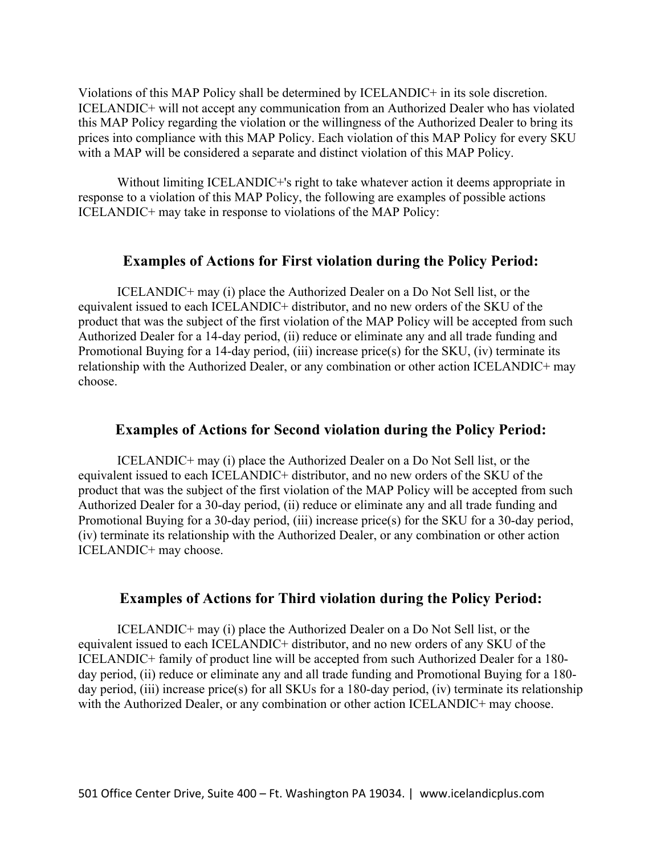Violations of this MAP Policy shall be determined by ICELANDIC+ in its sole discretion. ICELANDIC+ will not accept any communication from an Authorized Dealer who has violated this MAP Policy regarding the violation or the willingness of the Authorized Dealer to bring its prices into compliance with this MAP Policy. Each violation of this MAP Policy for every SKU with a MAP will be considered a separate and distinct violation of this MAP Policy.

Without limiting ICELANDIC+'s right to take whatever action it deems appropriate in response to a violation of this MAP Policy, the following are examples of possible actions ICELANDIC+ may take in response to violations of the MAP Policy:

## **Examples of Actions for First violation during the Policy Period:**

ICELANDIC+ may (i) place the Authorized Dealer on a Do Not Sell list, or the equivalent issued to each ICELANDIC+ distributor, and no new orders of the SKU of the product that was the subject of the first violation of the MAP Policy will be accepted from such Authorized Dealer for a 14-day period, (ii) reduce or eliminate any and all trade funding and Promotional Buying for a 14-day period, (iii) increase price(s) for the SKU, (iv) terminate its relationship with the Authorized Dealer, or any combination or other action ICELANDIC+ may choose.

### **Examples of Actions for Second violation during the Policy Period:**

ICELANDIC+ may (i) place the Authorized Dealer on a Do Not Sell list, or the equivalent issued to each ICELANDIC+ distributor, and no new orders of the SKU of the product that was the subject of the first violation of the MAP Policy will be accepted from such Authorized Dealer for a 30-day period, (ii) reduce or eliminate any and all trade funding and Promotional Buying for a 30-day period, (iii) increase price(s) for the SKU for a 30-day period, (iv) terminate its relationship with the Authorized Dealer, or any combination or other action ICELANDIC+ may choose.

### **Examples of Actions for Third violation during the Policy Period:**

ICELANDIC+ may (i) place the Authorized Dealer on a Do Not Sell list, or the equivalent issued to each ICELANDIC+ distributor, and no new orders of any SKU of the ICELANDIC+ family of product line will be accepted from such Authorized Dealer for a 180 day period, (ii) reduce or eliminate any and all trade funding and Promotional Buying for a 180 day period, (iii) increase price(s) for all SKUs for a 180-day period, (iv) terminate its relationship with the Authorized Dealer, or any combination or other action ICELANDIC+ may choose.